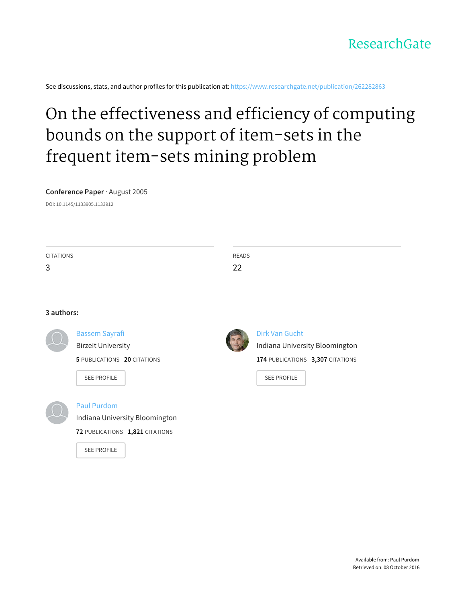

See discussions, stats, and author profiles for this publication at: [https://www.researchgate.net/publication/262282863](https://www.researchgate.net/publication/262282863_On_the_effectiveness_and_efficiency_of_computing_bounds_on_the_support_of_item-sets_in_the_frequent_item-sets_mining_problem?enrichId=rgreq-9b52ef1592a4014233f939e2a07f7eab-XXX&enrichSource=Y292ZXJQYWdlOzI2MjI4Mjg2MztBUzoxMDE0NzAzODA3NTcwMDJAMTQwMTIwMzgzMzgwNw%3D%3D&el=1_x_2)

# On the [effectiveness](https://www.researchgate.net/publication/262282863_On_the_effectiveness_and_efficiency_of_computing_bounds_on_the_support_of_item-sets_in_the_frequent_item-sets_mining_problem?enrichId=rgreq-9b52ef1592a4014233f939e2a07f7eab-XXX&enrichSource=Y292ZXJQYWdlOzI2MjI4Mjg2MztBUzoxMDE0NzAzODA3NTcwMDJAMTQwMTIwMzgzMzgwNw%3D%3D&el=1_x_3) and efficiency of computing bounds on the support of item-sets in the frequent item-sets mining problem

#### **Conference Paper** · August 2005

DOI: 10.1145/1133905.1133912

| <b>CITATIONS</b> |                                 | <b>READS</b>                     |
|------------------|---------------------------------|----------------------------------|
| 3                |                                 | 22                               |
|                  |                                 |                                  |
|                  |                                 |                                  |
| 3 authors:       |                                 |                                  |
|                  | <b>Bassem Sayrafi</b>           | Dirk Van Gucht                   |
|                  | <b>Birzeit University</b>       | Indiana University Bloomington   |
|                  | 5 PUBLICATIONS 20 CITATIONS     | 174 PUBLICATIONS 3,307 CITATIONS |
|                  | <b>SEE PROFILE</b>              | <b>SEE PROFILE</b>               |
|                  |                                 |                                  |
|                  | <b>Paul Purdom</b>              |                                  |
|                  | Indiana University Bloomington  |                                  |
|                  | 72 PUBLICATIONS 1,821 CITATIONS |                                  |
|                  | <b>SEE PROFILE</b>              |                                  |
|                  |                                 |                                  |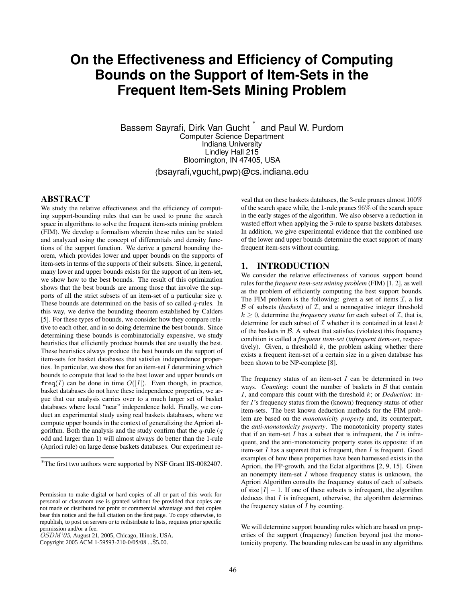# **On the Effectiveness and Efficiency of Computing Bounds on the Support of Item-Sets in the Frequent Item-Sets Mining Problem**

Bassem Sayrafi, Dirk Van Gucht<sup>\*</sup> and Paul W. Purdom Computer Science Department Indiana University Lindley Hall 215 Eindrey Trail 215<br>Bloomington, IN 47405, USA {bsayrafi,vgucht,pwp}@cs.indiana.edu 2-1-2, Hitotsubashi,  $\overline{a}$  $\alpha$ - $\alpha$  van Gucht $\alpha$  $T_{\rm{B}}$ aom

# **ABSTRACT**

**EXECT**<br>We study the relative effectiveness and the efficiency of computing support-bounding rules that can be used to prune the search space in algorithms to solve the frequent item-sets mining problem (FIM). We develop a formalism wherein these rules can be stated and analyzed using the concept of differentials and density functions of the support function. We derive a general bounding theorem, which provides lower and upper bounds on the supports of item-sets in terms of the supports of their subsets. Since, in general, many lower and upper bounds exists for the support of an item-set, we show how to the best bounds. The result of this optimization shows that the best bounds are among those that involve the supports of all the strict subsets of an item-set of a particular size  $q$ . These bounds are determined on the basis of so called  $q$ -rules. In this way, we derive the bounding theorem established by Calders [5]. For these types of bounds, we consider how they compare relative to each other, and in so doing determine the best bounds. Since determining these bounds is combinatorially expensive, we study heuristics that efficiently produce bounds that are usually the best. These heuristics always produce the best bounds on the support of item-sets for basket databases that satisfies independence properties. In particular, we show that for an item-set  $I$  determining which bounds to compute that lead to the best lower and upper bounds on  $freq(I)$  can be done in time  $O(|I|)$ . Even though, in practice, basket databases do not have these independence properties, we argue that our analysis carries over to a much larger set of basket databases where local "near" independence hold. Finally, we conduct an experimental study using real baskets databases, where we compute upper bounds in the context of generalizing the Apriori algorithm. Both the analysis and the study confirm that the  $q$ -rule  $(q)$ odd and larger than 1) will almost always do better than the 1-rule (Apriori rule) on large dense baskets databases. Our experiment re we study the feralive effectiveness and the efficiency of comput-

veal that on these baskets databases, the 3-rule prunes almost  $100\%$ of the search space while, the 1-rule prunes  $96\%$  of the search space in the early stages of the algorithm. We also observe a reduction in wasted effort when applying the 3-rule to sparse baskets databases. In addition, we give experimental evidence that the combined use of the lower and upper bounds determine the exact support of many of the fower and upper bounds determined the transaction of the transmission of the transmission of the transmission of the transmission of the transmission of the transmission of the transmission of the transmission of th  $\frac{1}{2}$  vear that on these baskets databases, the 5-rule primes annost  $\frac{1}{2}$  0.0

is included in jth transaction. Each cell can be represented

# 1. **INTRODUCTION**

We consider the relative effectiveness of various support bound rules for the *frequent item-sets mining problem* (FIM) [1, 2], as well as the problem of efficiently computing the best support bounds. The FIM problem is the following: given a set of items  $\mathcal{I}$ , a list  $B$  of subsets (*baskets*) of  $I$ , and a nonnegative integer threshold  $k \geq 0$ , determine the *frequency status* for each subset of  $\mathcal{I}$ , that is, determine for each subset of  $\mathcal I$  whether it is contained in at least  $k$ of the baskets in  $\beta$ . A subset that satisfies (violates) this frequency condition is called a *frequent item-set* (*infrequent item-set*, respectively). Given, a threshold  $k$ , the problem asking whether there exists a frequent item-set of a certain size in a given database has been shown to be NP-complete [8].

The frequency status of an item-set  $I$  can be determined in two ways. *Counting*: count the number of baskets in  $\beta$  that contain  $I$ , and compare this count with the threshold  $k$ ; or *Deduction*: infer  $I$ 's frequency status from the (known) frequency status of other item-sets. The best known deduction methods for the FIM problem are based on the *monotonicity* property and, its counterpart, the *anti-monotonicity property*. The monotonicity property states that if an item-set  $I$  has a subset that is infrequent, the  $I$  is infrequent, and the anti-monotonicity property states its opposite: if an item-set  $I$  has a superset that is frequent, then  $I$  is frequent. Good examples of how these properties have been harnessed exists in the Apriori, the FP-growth, and the Eclat algorithms [2, 9, 15]. Given an nonempty item-set  $I$  whose frequency status is unknown, the Apriori Algorithm consults the frequency status of each of subsets of size  $|I| - 1$ . If one of these subsets is infrequent, the algorithm deduces that  $I$  is infrequent, otherwise, the algorithm determines the frequency status of  $\overline{I}$  by counting.

We will determine support bounding rules which are based on properties of the support (frequency) function beyond just the monotonicity property. The bounding rules can be used in any algorithms We will determine support bounding rules which are based on prop-

<sup>\*</sup>The first two authors were supported by NSF Grant IIS-0082407. The bitmap stores the transaction database in a 01 matrix,

Permission to make digital or hard copies of all or part of this work for personal or classroom use is granted without fee provided that copies are not made or distributed for profit or commercial advantage and that copies bear this notice and the full citation on the first page. To copy otherwise, to republish, to post on servers or to redistribute to lists, requires prior specific permission and/or a fee.

OSDM'05, August 21, 2005, Chicago, Illinois, USA.

Copyright 2005 ACM 1-59593-210-0/05/08 ...\$5.00.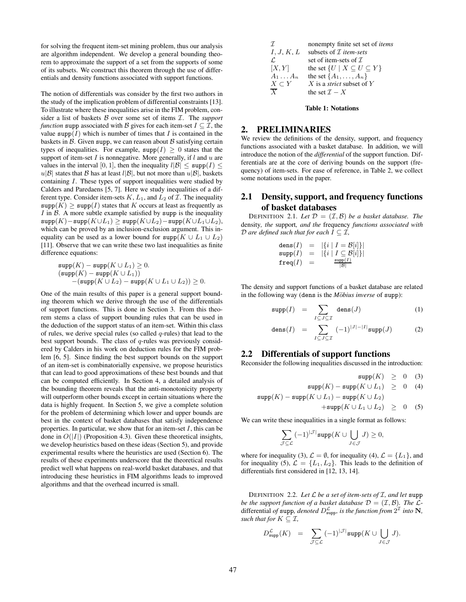for solving the frequent item-set mining problem, thus our analysis are algorithm independent. We develop a general bounding theorem to approximate the support of a set from the supports of some of its subsets. We construct this theorem through the use of differentials and density functions associated with support functions.

The notion of differentials was consider by the first two authors in the study of the implication problem of differential constraints [13]. To illustrate where these inequalities arise in the FIM problem, consider a list of baskets B over some set of items I. The *support function* supp associated with B gives for each item-set  $I \subseteq \mathcal{I}$ , the value supp $(I)$  which is number of times that I is contained in the baskets in  $\beta$ . Given supp, we can reason about  $\beta$  satisfying certain types of inequalities. For example,  $\text{supp}(I) \geq 0$  states that the support of item-set  $I$  is nonnegative. More generally, if  $l$  and  $u$  are values in the interval [0, 1], then the inequality  $l|\mathcal{B}| \leq \text{supp}(I) \leq$  $u|\mathcal{B}|$  states that  $\mathcal B$  has at least  $l|\mathcal{B}|$ , but not more than  $u|\mathcal{B}|$ , baskets containing I. These types of support inequalities were studied by Calders and Paredaens [5, 7]. Here we study inequalities of a different type. Consider item-sets  $K, L_1$ , and  $L_2$  of  $\mathcal I$ . The inequality  $\text{supp}(K) \geq \text{supp}(I)$  states that K occurs at least as frequently as  $I$  in  $B$ . A more subtle example satisfied by supp is the inequality  $\operatorname{supp}(K)-\operatorname{supp}(K\cup L_1)\geq \operatorname{supp}(K\cup L_2)-\operatorname{supp}(K\cup L_1\cup L_2),$ which can be proved by an inclusion-exclusion argument. This inequality can be used as a lower bound for  $\text{supp}(K \cup L_1 \cup L_2)$ [11]. Observe that we can write these two last inequalities as finite difference equations:

$$
\begin{array}{l} \displaystyle{\supp(K)-{\rm supp}(K\cup L_1)\geq 0}.\\ \displaystyle{(\hbox{supp}(K)-{\rm supp}(K\cup L_1))}\\ \displaystyle{-(\hbox{supp}(K\cup L_2)-{\rm supp}(K\cup L_1\cup L_2))\geq 0}. \end{array}
$$

One of the main results of this paper is a general support bounding theorem which we derive through the use of the differentials of support functions. This is done in Section 3. From this theorem stems a class of support bounding rules that can be used in the deduction of the support status of an item-set. Within this class of rules, we derive special rules (so called  $q$ -rules) that lead to the best support bounds. The class of  $q$ -rules was previously considered by Calders in his work on deduction rules for the FIM problem [6, 5]. Since finding the best support bounds on the support of an item-set is combinatorially expensive, we propose heuristics that can lead to good approximations of these best bounds and that can be computed efficiently. In Section 4, a detailed analysis of the bounding theorem reveals that the anti-monotonicity property will outperform other bounds except in certain situations where the data is highly frequent. In Section 5, we give a complete solution for the problem of determining which lower and upper bounds are best in the context of basket databases that satisfy independence properties. In particular, we show that for an item-set  $I$ , this can be done in  $O(|I|)$  (Proposition 4.3). Given these theoretical insights, we develop heuristics based on these ideas (Section 5), and provide experimental results where the heuristics are used (Section 6). The results of these experiments underscore that the theoretical results predict well what happens on real-world basket databases, and that introducing these heuristics in FIM algorithms leads to improved algorithms and that the overhead incurred is small.

| $\mathcal{I}$   | nonempty finite set set of <i>items</i>        |
|-----------------|------------------------------------------------|
| $I, J, K, L$    | subsets of $\mathcal{I}$ <i>item-sets</i>      |
| $\mathcal{L}$   | set of item-sets of $\mathcal{I}$              |
| $[X, Y]$        | the set $\{U \mid X \subseteq U \subseteq Y\}$ |
| $A_1 \dots A_n$ | the set $\{A_1, \dots, A_n\}$                  |
| $X \subseteq Y$ | $X$ is a <i>strict subset</i> of $Y$           |
| $\overline{X}$  | the set $\mathcal{I} - X$                      |

**Table 1: Notations**

# **2. PRELIMINARIES**

We review the definitions of the density, support, and frequency functions associated with a basket database. In addition, we will introduce the notion of the *differential* of the support function. Differentials are at the core of deriving bounds on the support (frequency) of item-sets. For ease of reference, in Table 2, we collect some notations used in the paper.

# **2.1 Density, support, and frequency functions of basket databases**

DEFINITION 2.1. Let  $\mathcal{D} = (\mathcal{I}, \mathcal{B})$  *be a basket database. The* density*, the* support*, and the* frequency *functions associated with D* are defined such that for each  $I \subseteq \mathcal{I}$ ,

$$
\begin{array}{lcl} \texttt{dens}(I) & = & \left| \left\{ i \mid I = \mathcal{B}[i] \right\} \right| \\ \texttt{supp}(I) & = & \left| \left\{ i \mid I \subseteq \mathcal{B}[i] \right\} \right| \\ \texttt{freq}(I) & = & \frac{\texttt{supp}(I)}{| \mathcal{B}|} \end{array}
$$

The density and support functions of a basket database are related in the following way (dens is the *Möbius inverse* of supp):

$$
\mathrm{supp}(I) = \sum_{I \subseteq J \subseteq \mathcal{I}} \mathrm{dens}(J) \tag{1}
$$

$$
\text{dens}(I) = \sum_{I \subseteq J \subseteq \mathcal{I}} (-1)^{|J| - |I|} \text{supp}(J) \tag{2}
$$

#### **2.2 Differentials of support functions**

Reconsider the following inequalities discussed in the introduction:

$$
\text{supp}(K) \geq 0 \quad (3)
$$
  
\n
$$
\text{supp}(K) - \text{supp}(K \cup L_1) \geq 0 \quad (4)
$$
  
\n
$$
\text{supp}(K) - \text{supp}(K \cup L_1) - \text{supp}(K \cup L_2) \geq 0 \quad (5)
$$

We can write these inequalities in a single format as follows:

$$
\sum_{\mathcal{J}\subseteq \mathcal{L}}\,(-1)^{|\mathcal{J}|}{\rm supp}(K\cup\bigcup_{J\in \mathcal{J}}J)\geq 0,
$$

where for inequality (3),  $\mathcal{L} = \emptyset$ , for inequality (4),  $\mathcal{L} = \{L_1\}$ , and for inequality (5),  $\mathcal{L} = \{L_1, L_2\}$ . This leads to the definition of differentials first considered in [12, 13, 14].

DEFINITION 2.2. Let  $\mathcal{L}$  be a set of item-sets of  $\mathcal{I}$ , and let supp *be the support function of a basket database*  $\mathcal{D} = (\mathcal{I}, \mathcal{B})$ *. The*  $\mathcal{L}$ differential *of* supp, *denoted*  $D_{\text{supp}}^{\mathcal{L}}$  *is the function from*  $2^{\mathcal{L}}$  *into* N, *such that for*  $K \subseteq \mathcal{I}$ ,

$$
D_{\text{supp}}^{\mathcal{L}}(K) = \sum_{\mathcal{J} \subseteq \mathcal{L}} (-1)^{|\mathcal{J}|} \text{supp}(K \cup \bigcup_{J \in \mathcal{J}} J).
$$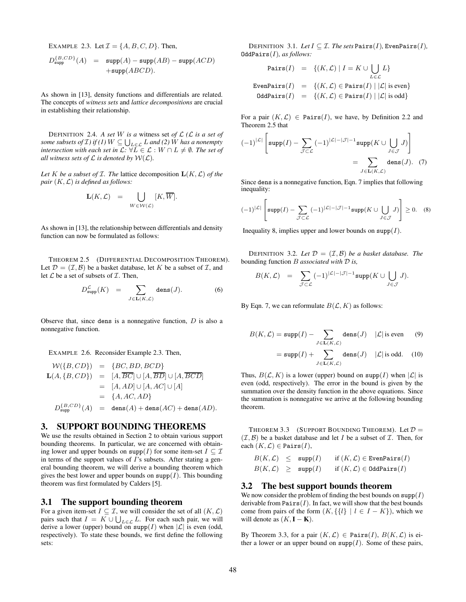EXAMPLE 2.3. Let  $\mathcal{I} = \{A, B, C, D\}$ . Then,

$$
D_{\text{supp}}^{\{B,CD\}}(A) = \text{supp}(A) - \text{supp}(AB) - \text{supp}(ACD)
$$
  
+
$$
+\text{supp}(ABCD).
$$

As shown in [13], density functions and differentials are related. The concepts of *witness sets* and *lattice decompositions* are crucial in establishing their relationship.

DEFINITION 2.4. A set W is a witness set of  $\mathcal{L}$  ( $\mathcal{L}$  *is a set of some subsets of*  $I$ *) if*  $(I)$   $W \subseteq \bigcup_{L \in \mathcal{L}} L$  *and*  $(2)$  *W has a nonempty intersection with each set in*  $\mathcal{L}: \forall L \in \mathcal{L}: W \cap L \neq \emptyset$ . The set of *all* witness sets of  $\mathcal L$  *is denoted by*  $\mathcal W(\mathcal L)$ *.* 

*Let*  $K$  *be a subset of*  $I$ *. The lattice decomposition*  $L(K, \mathcal{L})$  *of the pair*  $(K, \mathcal{L})$  *is defined as follows:* 

$$
\mathbf{L}(K,\mathcal{L}) = \bigcup_{W \in \mathcal{W}(\mathcal{L})} [K,\overline{W}].
$$

As shown in [13], the relationship between differentials and density function can now be formulated as follows:

THEOREM 2.5 (DIFFERENTIAL DECOMPOSITION THEOREM). Let  $\mathcal{D} = (\mathcal{I}, \mathcal{B})$  be a basket database, let K be a subset of  $\mathcal{I}$ , and let  $\mathcal L$  be a set of subsets of  $\mathcal I$ . Then,

$$
D_{\rm supp}^{\mathcal{L}}(K) = \sum_{J \in \mathbf{L}(K,\mathcal{L})} \text{dens}(J). \tag{6}
$$

Observe that, since dens is a nonnegative function,  $D$  is also a nonnegative function.

EXAMPLE 2.6. Reconsider Example 2.3. Then,

$$
\mathcal{W}(\{B, CD\}) = \{BC, BD, BCD\}
$$
\n
$$
\mathbf{L}(A, \{B, CD\}) = [A, \overline{BC}] \cup [A, \overline{BD}] \cup [A, \overline{BCD}]
$$
\n
$$
= [A, AD] \cup [A, AC] \cup [A]
$$
\n
$$
= \{A, AC, AD\}
$$
\n
$$
D_{\text{supp}}^{\{B, CD\}}(A) = \text{dens}(A) + \text{dens}(AC) + \text{dens}(AD).
$$

### **3. SUPPORT BOUNDING THEOREMS**

We use the results obtained in Section 2 to obtain various support bounding theorems. In particular, we are concerned with obtaining lower and upper bounds on supp(I) for some item-set  $I \subseteq \mathcal{I}$ in terms of the support values of  $I$ 's subsets. After stating a general bounding theorem, we will derive a bounding theorem which gives the best lower and upper bounds on  $\text{supp}(I)$ . This bounding theorem was first formulated by Calders [5].

#### **3.1 The support bounding theorem**

For a given item-set  $I \subseteq \mathcal{I}$ , we will consider the set of all  $(K, \mathcal{L})$ pairs such that  $I = K \cup \bigcup_{L \in \mathcal{L}} L$ . For each such pair, we will derive a lower (upper) bound on supp(I) when  $|\mathcal{L}|$  is even (odd, respectively). To state these bounds, we first define the following sets:

DEFINITION 3.1. Let  $I \subseteq \mathcal{I}$ . The sets Pairs(I), EvenPairs(I), OddPairs(I)*, as follows:*

$$
\begin{array}{lcl} \texttt{Pairs}(I) & = & \{(K, \mathcal{L}) \mid I = K \cup \bigcup_{L \in \mathcal{L}} L\} \\ \texttt{EvenPairs}(I) & = & \{(K, \mathcal{L}) \in \texttt{Pairs}(I) \mid |\mathcal{L}| \text{ is even}\} \\ \texttt{OddPairs}(I) & = & \{(K, \mathcal{L}) \in \texttt{Pairs}(I) \mid |\mathcal{L}| \text{ is odd}\} \end{array}
$$

For a pair  $(K, \mathcal{L}) \in \text{Pairs}(I)$ , we have, by Definition 2.2 and Theorem 2.5 that

$$
(-1)^{|\mathcal{L}|} \left[ \operatorname{supp}(I) - \sum_{\mathcal{J} \subset \mathcal{L}} (-1)^{|\mathcal{L}| - |\mathcal{J}| - 1} \operatorname{supp}(K \cup \bigcup_{J \in \mathcal{J}} J) \right]
$$
  
= 
$$
\sum_{J \in \mathbf{L}(K,\mathcal{L})} \operatorname{dens}(J). \quad (7)
$$

Since dens is a nonnegative function, Eqn. 7 implies that following inequality:

$$
(-1)^{|\mathcal{L}|} \left[ \mathrm{supp}(I) - \sum_{\mathcal{J} \subset \mathcal{L}} (-1)^{|\mathcal{L}| - |\mathcal{J}| - 1} \mathrm{supp}(K \cup \bigcup_{J \in \mathcal{J}} J) \right] \ge 0. \quad (8)
$$

 $\overline{a}$ 

Inequality 8, implies upper and lower bounds on  $\text{supp}(I)$ .

DEFINITION 3.2. Let  $D = (\mathcal{I}, \mathcal{B})$  be a basket database. The bounding function B *associated with* D *is,*

$$
B(K,\mathcal{L}) = \sum_{\mathcal{J}\subset\mathcal{L}} (-1)^{|\mathcal{L}|-|\mathcal{J}|-1} \mathrm{supp}(K\cup \bigcup_{J\in\mathcal{J}} J).
$$

By Eqn. 7, we can reformulate  $B(\mathcal{L}, K)$  as follows:

$$
B(K, \mathcal{L}) = \text{supp}(I) - \sum_{J \in \mathbf{L}(K, \mathcal{L})} \text{dens}(J) \quad |\mathcal{L}| \text{ is even} \tag{9}
$$

$$
= \mathrm{supp}(I) + \sum_{J \in \mathbf{L}(K,\mathcal{L})} \mathrm{dens}(J) \quad |\mathcal{L}| \text{ is odd.} \quad (10)
$$

Thus,  $B(\mathcal{L}, K)$  is a lower (upper) bound on supp(I) when  $|\mathcal{L}|$  is even (odd, respectively). The error in the bound is given by the summation over the density function in the above equations. Since the summation is nonnegative we arrive at the following bounding theorem.

THEOREM 3.3 (SUPPORT BOUNDING THEOREM). Let  $\mathcal{D} =$  $(\mathcal{I}, \mathcal{B})$  be a basket database and let I be a subset of  $\mathcal{I}$ . Then, for each  $(K, \mathcal{L}) \in \text{Pairs}(I)$ ,

$$
B(K, \mathcal{L}) \leq \text{supp}(I) \quad \text{if } (K, \mathcal{L}) \in \text{EvenPairs}(I)
$$
  

$$
B(K, \mathcal{L}) \geq \text{supp}(I) \quad \text{if } (K, \mathcal{L}) \in \text{OddPairs}(I)
$$

#### **3.2 The best support bounds theorem**

We now consider the problem of finding the best bounds on  $\text{supp}(I)$ derivable from  $Pairs(I)$ . In fact, we will show that the best bounds come from pairs of the form  $(K, \{\{l\} \mid l \in I - K\})$ , which we will denote as  $(K, I - K)$ .

By Theorem 3.3, for a pair  $(K, \mathcal{L}) \in \text{Pairs}(I)$ ,  $B(K, \mathcal{L})$  is either a lower or an upper bound on  $\text{supp}(I)$ . Some of these pairs,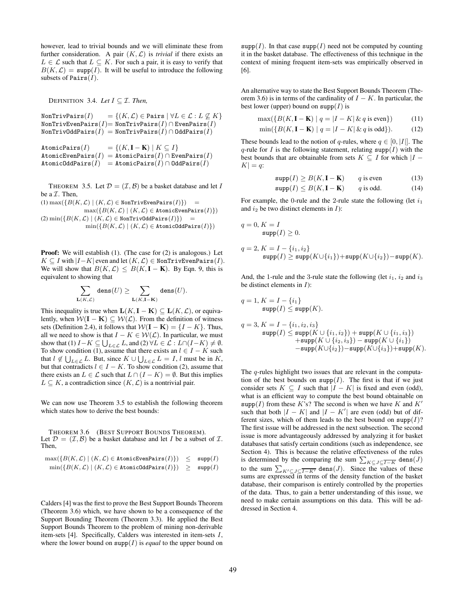however, lead to trivial bounds and we will eliminate these from further consideration. A pair  $(K, \mathcal{L})$  is *trivial* if there exists an  $L \in \mathcal{L}$  such that  $L \subseteq K$ . For such a pair, it is easy to verify that  $B(K, \mathcal{L}) = \text{supp}(I)$ . It will be useful to introduce the following subsets of Pairs $(I)$ .

DEFINITION 3.4. *Let*  $I \subseteq \mathcal{I}$ *. Then,* 

NonTrivPairs $(I)$  =  $\{(K,\mathcal{L}) \in$  Pairs  $\forall L \in \mathcal{L} : L \not\subseteq K\}$  $\mathtt{NonTrivEvenPairs}(I) \hspace{-0.5ex} = \hspace{-0.5ex} \mathtt{NonTrivPairs}(I) \cap \mathtt{EvenPairs}(I)$  $NonTrivOddPairs(I) = NonTrivPairs(I) \cap OddPairs(I)$ 

$$
\begin{array}{ll} \texttt{AtomicPairs}(I) &= \{(K, \mathbf{I} - \mathbf{K}) \mid K \subseteq I\} \\ \texttt{AtomicEvenPairs}(I) &= \texttt{AtomicPairs}(I) \cap \texttt{EvenPairs}(I) \\ \texttt{AtomicOddPairs}(I) &= \texttt{AtomicPairs}(I) \cap \texttt{OddPairs}(I) \end{array}
$$

THEOREM 3.5. Let  $\mathcal{D} = (\mathcal{I}, \mathcal{B})$  be a basket database and let I be a  $I$ . Then,

$$
(1) max({B(K, \mathcal{L}) | (K, \mathcal{L}) \in NonTrivEvenPairs(I)}) =
$$
  
\n
$$
max({B(K, \mathcal{L}) | (K, \mathcal{L}) \in AtomicEvenPairs(I)})
$$
  
\n
$$
(2) min({B(K, \mathcal{L}) | (K, \mathcal{L}) \in NonTrivOddPairs(I)}) =
$$
  
\n
$$
min({B(K, \mathcal{L}) | (K, \mathcal{L}) \in AtomicOddPairs(I)})
$$

**Proof:** We will establish (1). (The case for (2) is analogous.) Let  $K \subseteq I$  with  $|I-K|$  even and let  $(K, \mathcal{L}) \in \mathbb{N}$ onTrivEvenPairs $(I)$ . We will show that  $B(K, \mathcal{L}) \leq B(K, \mathbf{I} - \mathbf{K})$ . By Eqn. 9, this is equivalent to showing that

$$
\sum_{\mathbf{L}(K,\mathcal{L})}\,\mathrm{dens}(U)\geq \sum_{\mathbf{L}(K,\mathbf{I}-\mathbf{K})}\,\mathrm{dens}(U).
$$

This inequality is true when  $\mathbf{L}(K, \mathbf{I} - \mathbf{K}) \subseteq \mathbf{L}(K, \mathcal{L})$ , or equivalently, when  $W(I - K) \subseteq W(L)$ . From the definition of witness sets (Definition 2.4), it follows that  $W(I - K) = {I - K}$ . Thus, all we need to show is that  $I - K \in \mathcal{W}(\mathcal{L})$ . In particular, we must show that (1)  $I - K \subseteq \bigcup_{L \in \mathcal{L}} L$ , and  $(2) \forall L \in \mathcal{L} : L \cap (I - K) \neq \emptyset$ . To show condition (1), assume that there exists an  $l \in I - K$  such that  $l \notin \bigcup_{L \in \mathcal{L}} L$ . But, since  $K \cup \bigcup_{L \in \mathcal{L}} L = I$ , l must be in K, but that contradicts  $l \in I - K$ . To show condition (2), assume that there exists an  $L \in \mathcal{L}$  such that  $L \cap (I - K) = \emptyset$ . But this implies  $L \subseteq K$ , a contradiction since  $(K, \mathcal{L})$  is a nontrivial pair.

We can now use Theorem 3.5 to establish the following theorem which states how to derive the best bounds:

THEOREM 3.6 (BEST SUPPORT BOUNDS THEOREM). Let  $\mathcal{D} = (\mathcal{I}, \mathcal{B})$  be a basket database and let I be a subset of  $\mathcal{I}$ . Then,

$$
\begin{array}{rcl}\n\max(\{B(K,\mathcal{L}) \mid (K,\mathcal{L}) \in \texttt{AtomicEvenPairs}(I)\}) & \leq & \texttt{supp}(I) \\
\min(\{B(K,\mathcal{L}) \mid (K,\mathcal{L}) \in \texttt{AtomicOddPairs}(I)\}) & \geq & \texttt{supp}(I)\n\end{array}
$$

Calders [4] was the first to prove the Best Support Bounds Theorem (Theorem 3.6) which, we have shown to be a consequence of the Support Bounding Theorem (Theorem 3.3). He applied the Best Support Bounds Theorem to the problem of mining non-derivable item-sets [4]. Specifically, Calders was interested in item-sets I, where the lower bound on  $\text{supp}(I)$  is *equal* to the upper bound on  $\text{supp}(I)$ . In that case  $\text{supp}(I)$  need not be computed by counting it in the basket database. The effectiveness of this technique in the context of mining frequent item-sets was empirically observed in [6].

An alternative way to state the Best Support Bounds Theorem (Theorem 3.6) is in terms of the cardinality of  $I - K$ . In particular, the best lower (upper) bound on  $\text{supp}(I)$  is

$$
\max(\{B(K, \mathbf{I} - \mathbf{K}) \mid q = |I - K| \& q \text{ is even}\})\tag{11}
$$

$$
\min(\{B(K, \mathbf{I} - \mathbf{K}) \mid q = |I - K| \& q \text{ is odd}\}).\tag{12}
$$

These bounds lead to the notion of q-rules, where  $q \in [0, |I|]$ . The q-rule for I is the following statement, relating  $\text{supp}(I)$  with the best bounds that are obtainable from sets  $K \subseteq I$  for which  $|I |K| = q$ :

$$
supp(I) \ge B(K, I - K) \qquad q \text{ is even} \tag{13}
$$

$$
\text{supp}(I) \le B(K, \mathbf{I} - \mathbf{K}) \qquad q \text{ is odd.} \tag{14}
$$

For example, the 0-rule and the 2-rule state the following (let  $i_1$ ) and  $i_2$  be two distinct elements in  $I$ ):

$$
q = 0, K = I
$$
  
\n
$$
supp(I) \ge 0.
$$
  
\n
$$
q = 2, K = I - \{i_1, i_2\}
$$
  
\n
$$
supp(I) \ge supp(K \cup \{i_1\}) + supp(K \cup \{i_2\}) - supp(K).
$$

And, the 1-rule and the 3-rule state the following (let  $i_1$ ,  $i_2$  and  $i_3$ ) be distinct elements in  $I$ ):

$$
q = 1, K = I - \{i_1\}
$$
  
\n
$$
supp(I) \leq supp(K).
$$
  
\n
$$
q = 3, K = I - \{i_1, i_2, i_3\}
$$
  
\n
$$
supp(I) \leq supp(K \cup \{i_1, i_2\}) + supp(K \cup \{i_1, i_3\})
$$
  
\n
$$
+ supp(K \cup \{i_2, i_3\}) - supp(K \cup \{i_1\})
$$
  
\n
$$
- supp(K \cup \{i_2\}) - supp(K \cup \{i_3\}) + supp(K).
$$

The q-rules highlight two issues that are relevant in the computation of the best bounds on  $\text{supp}(I)$ . The first is that if we just consider sets  $K \subseteq I$  such that  $|I - K|$  is fixed and even (odd), what is an efficient way to compute the best bound obtainable on  $\text{supp}(I)$  from these K's? The second is when we have K and K' such that both  $|I - K|$  and  $|I - K'|$  are even (odd) but of different sizes, which of them leads to the best bound on  $\text{supp}(I)$ ? The first issue will be addressed in the next subsection. The second issue is more advantageously addressed by analyzing it for basket databases that satisfy certain conditions (such as independence, see Section 4). This is because the relative effectiveness of the rules is determined by the comparing the sum  $\sum_{K \subseteq J} \subseteq \overline{I-K}$  dens $(J)$ to the sum  $\sum_{K' \subseteq J} \subseteq \overline{I-K'}$  dens $(J)$ . Since the values of these sums are expressed in terms of the density function of the basket database, their comparison is entirely controlled by the properties of the data. Thus, to gain a better understanding of this issue, we need to make certain assumptions on this data. This will be addressed in Section 4.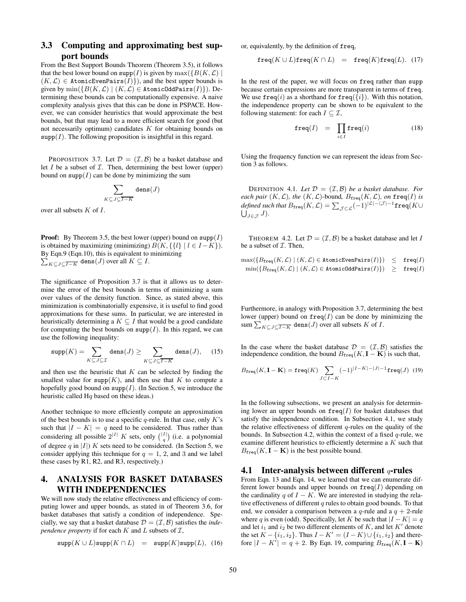# **3.3 Computing and approximating best support bounds**

From the Best Support Bounds Theorem (Theorem 3.5), it follows that the best lower bound on supp(I) is given by  $\max({B(K, \mathcal{L})}|$  $(K, \mathcal{L}) \in$  AtomicEvenPairs $(I)$ , and the best upper bounds is given by  $\min(\{B(K,\mathcal{L}) \mid (K,\mathcal{L}) \in \texttt{AtomicOddPairs}(I)\})$ . Determining these bounds can be computationally expensive. A naive complexity analysis gives that this can be done in PSPACE. However, we can consider heuristics that would approximate the best bounds, but that may lead to a more efficient search for good (but not necessarily optimum) candidates  $K$  for obtaining bounds on  $\text{supp}(I)$ . The following proposition is insightful in this regard.

PROPOSITION 3.7. Let  $\mathcal{D} = (\mathcal{I}, \mathcal{B})$  be a basket database and let  $I$  be a subset of  $I$ . Then, determining the best lower (upper) bound on supp $(I)$  can be done by minimizing the sum

$$
\sum_{K \subseteq J \subseteq \overline{I-K}} \mathtt{dens}(J)
$$

over all subsets  $K$  of  $I$ .

**Proof:** By Theorem 3.5, the best lower (upper) bound on  $\text{supp}(I)$ is obtained by maximizing (minimizing)  $B(K, \{l\} | l \in I - K)$ ).  $\sum_{K \subseteq J} \subseteq \overline{I-K}$  dens $(J)$  over all  $K \subseteq I$ . By Eqn.9 (Eqn.10), this is equivalent to minimizing

The significance of Proposition 3.7 is that it allows us to determine the error of the best bounds in terms of minimizing a sum over values of the density function. Since, as stated above, this minimization is combinatorially expensive, it is useful to find good approximations for these sums. In particular, we are interested in heuristically determining a  $K \subseteq I$  that would be a good candidate for computing the best bounds on  $\text{supp}(I)$ . In this regard, we can use the following inequality:

$$
\mathrm{supp}(K) = \sum_{K \subseteq J \subseteq \mathcal{I}} \mathrm{dens}(J) \ge \sum_{K \subseteq J \subseteq \overline{I-K}} \mathrm{dens}(J), \quad (15)
$$

and then use the heuristic that  $K$  can be selected by finding the smallest value for  $\text{supp}(K)$ , and then use that K to compute a hopefully good bound on supp $(I)$ . (In Section 5, we introduce the heuristic called  $Hq$  based on these ideas.)

Another technique to more efficiently compute an approximation of the best bounds is to use a specific  $q$ -rule. In that case, only K's such that  $|I - K| = q$  need to be considered. Thus rather than considering all possible  $2^{|I|} K$  sets, only  $\binom{|I|}{q}$  (i.e. a polynomial of degree q in |I|) K sets need to be considered. (In Section 5, we consider applying this technique for  $q = 1, 2$ , and 3 and we label these cases by R1, R2, and R3, respectively.)

# **4. ANALYSIS FOR BASKET DATABASES WITH INDEPENDENCIES**

We will now study the relative effectiveness and efficiency of computing lower and upper bounds, as stated in of Theorem 3.6, for basket databases that satisfy a condition of independence. Specially, we say that a basket database  $\mathcal{D} = (\mathcal{I}, \mathcal{B})$  satisfies the *independence property* if for each  $K$  and  $L$  subsets of  $\mathcal{I}$ ,

$$
\mathrm{supp}(K\cup L)\mathrm{supp}(K\cap L) \quad = \quad \mathrm{supp}(K)\mathrm{supp}(L), \ \ (16)
$$

or, equivalently, by the definition of freq,

$$
freq(K \cup L){\bf freq}(K \cap L) = freq(K){\bf freq}(L). \eqno{(17)}
$$

In the rest of the paper, we will focus on freq rather than supp because certain expressions are more transparent in terms of freq. We use  $\text{freq}(i)$  as a shorthand for  $\text{freq}(\{i\})$ . With this notation, the independence property can be shown to be equivalent to the following statement: for each  $I \subseteq \mathcal{I}$ ,

$$
\mathbf{freq}(I) = \prod_{i \in I} \mathbf{freq}(i) \tag{18}
$$

Using the frequency function we can represent the ideas from Section 3 as follows.

DEFINITION 4.1. Let  $\mathcal{D} = (\mathcal{I}, \mathcal{B})$  *be a basket database. For each pair*  $(K, \mathcal{L})$ *, the*  $(K, \mathcal{L})$ -bound,  $B_{\text{freq}}(K, \mathcal{L})$ *, on* freq(I) *is*  $\delta d$ efined such that  $B_{\texttt{freq}}(K,\mathcal{L}) = \sum_{\mathcal{J} \subset \mathcal{L}} (-1)^{|\mathcal{L}|-|\mathcal{J}|-1}$ freq $(K \cup K)$  $\bigcup_{J \in \mathcal{J}} J$ ).

THEOREM 4.2. Let  $\mathcal{D} = (\mathcal{I}, \mathcal{B})$  be a basket database and let I be a subset of  $I$ . Then,

$$
\begin{array}{rcl}\n\max(\{B_{\texttt{freq}}(K,\mathcal{L}) \mid (K,\mathcal{L}) \in \texttt{AtomicEvenPairs}(I)\}) & \leq & \texttt{freq}(I) \\
\min(\{B_{\texttt{freq}}(K,\mathcal{L}) \mid (K,\mathcal{L}) \in \texttt{AtomicOddPairs}(I)\}) & \geq & \texttt{freq}(I)\n\end{array}
$$

Furthermore, in analogy with Proposition 3.7, determining the best lower (upper) bound on  $freq(I)$  can be done by minimizing the sum  $\sum_{K \subseteq J} \frac{1}{\sqrt{I-K}} \text{ dens}(J)$  over all subsets K of I.

In the case where the basket database  $\mathcal{D} = (\mathcal{I}, \mathcal{B})$  satisfies the independence condition, the bound  $B_{\text{freq}}(K, \mathbf{I} - \mathbf{K})$  is such that,

$$
B_{\text{freq}}(K, \mathbf{I} - \mathbf{K}) = \text{freq}(K) \sum_{J \subset I - K} (-1)^{|I - K| - |J| - 1} \text{freq}(J) \tag{19}
$$

In the following subsections, we present an analysis for determining lower an upper bounds on  ${\bf freq}(I)$  for basket databases that satisfy the independence condition. In Subsection 4.1, we study the relative effectiveness of different  $q$ -rules on the quality of the bounds. In Subsection 4.2, within the context of a fixed  $q$ -rule, we examine different heuristics to efficiently determine a  $K$  such that  $B_{\text{freq}}(K, \mathbf{I} - \mathbf{K})$  is the best possible bound.

#### **4.1 Inter-analysis between different** q**-rules**

From Eqn. 13 and Eqn. 14, we learned that we can enumerate different lower bounds and upper bounds on  $freq(I)$  depending on the cardinality q of  $I - K$ . We are interested in studying the relative effectiveness of different  $q$  rules to obtain good bounds. To that end, we consider a comparison between a q-rule and a  $q + 2$ -rule where q is even (odd). Specifically, let K be such that  $|I - K| = q$ and let  $i_1$  and  $i_2$  be two different elements of K, and let K' denote the set  $K - \{i_1, i_2\}$ . Thus  $I - K' = (I - K) \cup \{i_1, i_2\}$  and therefore  $|I - K'| = q + 2$ . By Eqn. 19, comparing  $B_{\text{freq}}(K, \mathbf{I} - \mathbf{K})$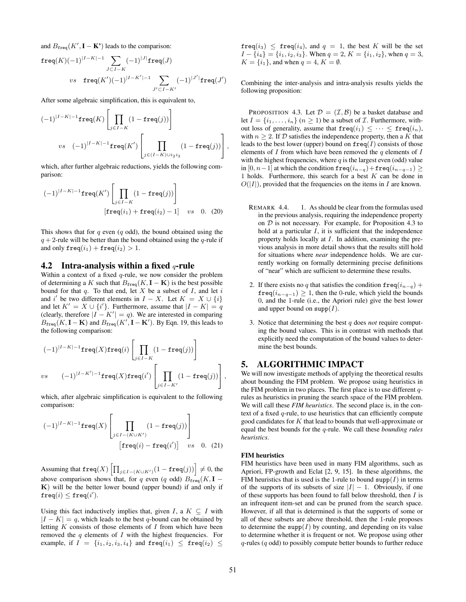and  $B_{\text{freq}}(K', \mathbf{I} - \mathbf{K'})$  leads to the comparison:

$$
\begin{aligned}\n\texttt{freq}(K) (-1)^{|I-K|-1} & \sum_{J \subset I-K} (-1)^{|J|} \texttt{freq}(J) \\
& vs & \texttt{freq}(K') (-1)^{|I-K'|-1} \sum_{J' \subset I-K'} (-1)^{|J'|} \texttt{freq}(J')\n\end{aligned}
$$

After some algebraic simplification, this is equivalent to,

$$
(-1)^{|I-K|-1}\operatorname{freq}(K)\left[\prod_{j\in I-K}(1-\operatorname{freq}(j))\right]
$$
  

$$
vs \quad (-1)^{|I-K|-1}\operatorname{freq}(K')\left[\prod_{j\in (I-K)\cup i_2i_3}(1-\operatorname{freq}(j))\right],
$$

which, after further algebraic reductions, yields the following comparison:

$$
(-1)^{|I-K|-1}\mathbf{freq}(K')\left[\prod_{j\in I-K}(1-\mathbf{freq}(j))\right]
$$
  

$$
[\mathbf{freq}(i_1)+\mathbf{freq}(i_2)-1] \quad vs \quad 0. \quad (20)
$$

This shows that for  $q$  even  $(q \text{ odd})$ , the bound obtained using the  $q + 2$ -rule will be better than the bound obtained using the q-rule if and only  $\texttt{freq}(i_1) + \texttt{freq}(i_2) > 1$ .

#### **4.2 Intra-analysis within a fixed** q**-rule**

Within a context of a fixed  $q$ -rule, we now consider the problem of determining a K such that  $B_{\text{freq}}(K, \mathbf{I} - \mathbf{K})$  is the best possible bound for that  $q$ . To that end, let X be a subset of  $I$ , and let  $i$ and i' be two different elements in  $I - X$ . Let  $K = X \cup \{i\}$ and let  $K' = X \cup \{i'\}$ . Furthermore, assume that  $|I - K| = q$ (clearly, therefore  $|I - K'| = q$ ). We are interested in comparing  $B_{\text{freq}}(K, \mathbf{I} - \mathbf{K})$  and  $B_{\text{freq}}(K', \mathbf{I} - \mathbf{K}')$ . By Eqn. 19, this leads to the following comparison:

$$
(-1)^{|I-K|-1}\operatorname{freq}(X)\operatorname{freq}(i)\left[\prod_{j\in I-K}(1-\operatorname{freq}(j))\right]
$$
  

$$
vs \qquad (-1)^{|I-K'|-1}\operatorname{freq}(X)\operatorname{freq}(i')\left[\prod_{j\in I-K'}(1-\operatorname{freq}(j))\right],
$$

which, after algebraic simplification is equivalent to the following comparison:

$$
(-1)^{|I-K|-1}\mathbf{freq}(X)\left[\prod_{j\in I-(K\cup K')}\left(1-\mathbf{freq}(j)\right)\right]
$$
  

$$
\left[\mathbf{freq}(i)-\mathbf{freq}(i')\right] \quad vs \quad 0. \quad (21)
$$

Assuming that  $\texttt{freq}(X) \left[ \prod_{j \in I - (K \cup K')}(1 - \texttt{freq}(j)) \right] \neq 0$ , the above comparison shows that, for q even (q odd)  $B_{\text{freq}}(K, \mathbf{I} K$ ) will be the better lower bound (upper bound) if and only if  $\mathtt{freq}(i) \leq \mathtt{freq}(i').$ 

Using this fact inductively implies that, given I, a  $K \subseteq I$  with  $|I - K| = q$ , which leads to the best q-bound can be obtained by letting  $K$  consists of those elements of  $I$  from which have been removed the  $q$  elements of  $I$  with the highest frequencies. For example, if  $I = \{i_1, i_2, i_3, i_4\}$  and  $\text{freq}(i_1) \leq \text{freq}(i_2) \leq$ 

 $freq(i_3) \le freq(i_4)$ , and  $q = 1$ , the best K will be the set  $I - \{i_4\} = \{i_1, i_2, i_3\}$ . When  $q = 2$ ,  $K = \{i_1, i_2\}$ , when  $q = 3$ ,  $K = \{i_1\}$ , and when  $q = 4$ ,  $K = \emptyset$ .

Combining the inter-analysis and intra-analysis results yields the following proposition:

PROPOSITION 4.3. Let  $\mathcal{D} = (\mathcal{I}, \mathcal{B})$  be a basket database and let  $I = \{i_1, \ldots, i_n\}$   $(n \ge 1)$  be a subset of  $\mathcal I$ . Furthermore, without loss of generality, assume that  $\text{freq}(i_1) \leq \cdots \leq \text{freq}(i_n)$ , with  $n \geq 2$ . If D satisfies the independence property, then a K that leads to the best lower (upper) bound on  $\text{freq}(I)$  consists of those elements of  $I$  from which have been removed the  $q$  elements of  $I$ with the highest frequencies, where  $q$  is the largest even (odd) value in [0, n−1] at which the condition  $\text{freq}(i_{n-q})+\text{freq}(i_{n-q-1}) \ge$ 1 holds. Furthermore, this search for a best  $K$  can be done in  $O(|I|)$ , provided that the frequencies on the items in I are known.

- REMARK 4.4. 1. As should be clear from the formulas used in the previous analysis, requiring the independence property on  $D$  is not necessary. For example, for Proposition 4.3 to hold at a particular  $I$ , it is sufficient that the independence property holds locally at I. In addition, examining the previous analysis in more detail shows that the results still hold for situations where *near* independence holds. We are currently working on formally determining precise definitions of "near" which are sufficient to determine these results.
- 2. If there exists no q that satisfies the condition  $\text{freq}(i_{n-q})$  +  $freq(i_{n-q-1}) \geq 1$ , then the 0-rule, which yield the bounds 0, and the 1-rule (i.e., the Apriori rule) give the best lower and upper bound on  $\text{supp}(I)$ .
- 3. Notice that determining the best q does *not* require computing the bound values. This is in contrast with methods that explicitly need the computation of the bound values to determine the best bounds.

## **5. ALGORITHMIC IMPACT**

We will now investigate methods of applying the theoretical results about bounding the FIM problem. We propose using heuristics in the FIM problem in two places. The first place is to use different  $q$ rules as heuristics in pruning the search space of the FIM problem. We will call these *FIM heuristics*. The second place is, in the context of a fixed  $q$ -rule, to use heuristics that can efficiently compute good candidates for  $K$  that lead to bounds that well-approximate or equal the best bounds for the q-rule. We call these *bounding rules heuristics*.

#### **FIM heuristics**

FIM heuristics have been used in many FIM algorithms, such as Apriori, FP-growth and Eclat [2, 9, 15]. In these algorithms, the FIM heuristics that is used is the 1-rule to bound  $\text{supp}(I)$  in terms of the supports of its subsets of size  $|I| - 1$ . Obviously, if one of these supports has been found to fall below threshold, then  $I$  is an infrequent item-set and can be pruned from the search space. However, if all that is determined is that the supports of some or all of these subsets are above threshold, then the 1-rule proposes to determine the supp $(I)$  by counting, and depending on its value to determine whether it is frequent or not. We propose using other  $q$ -rules ( $q$  odd) to possibly compute better bounds to further reduce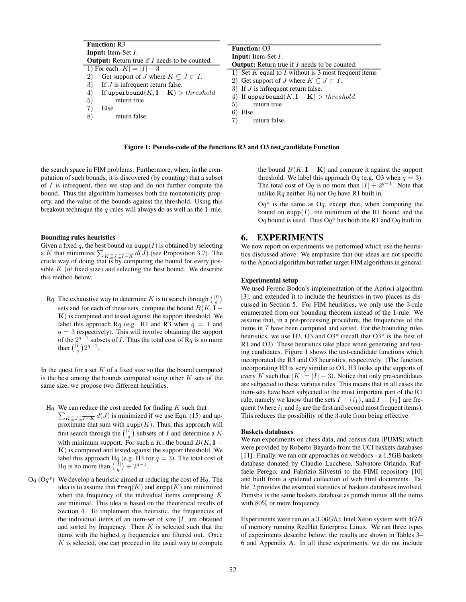| <b>Function: R3</b><br><b>Input:</b> Item-Set I.<br><b>Output:</b> Return true if $I$ needs to be counted.<br>1) For each $ K  =  I  - 3$<br>Get support of J where $K \subseteq J \subset I$ .<br>$\left( 2\right)$<br>If $J$ is infrequent return false.<br>3<br>If upperbound $(K, I - K) > threshold$<br>4<br>$5^{\circ}$<br>return true<br>$5^{\circ}$<br>Else<br>6)<br>return false.<br>8 | <b>Function: O3</b><br><b>Input:</b> Item-Set I.<br><b>Output:</b> Return true if $I$ needs to be counted.<br>1) Set $K$ equal to $I$ without is 3 most frequent items<br>2) Get support of J where $K \subset J \subset I$ .<br>3) If $J$ is infrequent return false.<br>If upperbound $(K, I - K) > threshold$<br>return true<br>Else<br>return false. |
|-------------------------------------------------------------------------------------------------------------------------------------------------------------------------------------------------------------------------------------------------------------------------------------------------------------------------------------------------------------------------------------------------|----------------------------------------------------------------------------------------------------------------------------------------------------------------------------------------------------------------------------------------------------------------------------------------------------------------------------------------------------------|
|-------------------------------------------------------------------------------------------------------------------------------------------------------------------------------------------------------------------------------------------------------------------------------------------------------------------------------------------------------------------------------------------------|----------------------------------------------------------------------------------------------------------------------------------------------------------------------------------------------------------------------------------------------------------------------------------------------------------------------------------------------------------|

**Figure 1: Pseudo-code of the functions R3 and O3 test candidate Function**

the search space in FIM problems. Furthermore, when, in the computation of such bounds, it is discovered (by counting) that a subset of  $I$  is infrequent, then we stop and do not further compute the bound. Thus the algorithm harnesses both the monotonicity property, and the value of the bounds against the threshold. Using this breakout technique the q-rules will always do as well as the 1-rule.

#### **Bounding rules heuristics**

Given a fixed q, the best bound on  $\text{supp}(I)$  is obtained by selecting a K that minimizes  $\sum_{K \subseteq J} \subseteq \overline{I-K} d(J)$  (see Proposition 3.7). The crude way of doing that is by computing the bound for every possible  $K$  (of fixed size) and selecting the best bound. We describe this method below.

Rq The exhaustive way to determine K is to search through  $\binom{|I|}{q}$ sets and for each of these sets, compute the bound  $B(K, I -$ K) is computed and tested against the support threshold. We label this approach Rq (e.g. R1 and R3 when  $q = 1$  and  $q = 3$  respectively). This will involve obtaining the support of the  $2^{q-1}$  subsets of *I*. Thus the total cost of Rq is no more than  $\binom{|I|}{q} 2^{q-1}$ .

In the quest for a set  $K$  of a fixed size so that the bound computed is the best among the bounds computed using other  $K$  sets of the same size, we propose two different heuristics.

- Hq We can reduce the cost needed for finding  $K$  such that We can reduce the cost needed for finding K such that  $\sum_{K \subseteq J \subseteq T-K} d(J)$  is minimized if we use Eqn. (15) and approximate that sum with  $\text{supp}(K)$ . Thus, this approach will first search through the  $\binom{|I|}{q}$  subsets of I and determine a K with minimum support. For such a K, the bound  $B(K, I -$ K) is computed and tested against the support threshold. We label this approach Hq (e.g. H3 for  $q = 3$ ). The total cost of Hq is no more than  $\binom{|\tilde{I}|}{q} + 2^{q-1}$ .
- $Oq(Oq^*)$  We develop a heuristic aimed at reducing the cost of Hq. The idea is to assume that  $freq(K)$  and  $supp(K)$  are minimized when the frequency of the individual items comprising  $K$ are minimal. This idea is based on the theoretical results of Section 4. To implement this heuristic, the frequencies of the individual items of an item-set of size  $|I|$  are obtained and sorted by frequency. Then  $K$  is selected such that the items with the highest  $q$  frequencies are filtered out. Once  $K$  is selected, one can proceed in the usual way to compute

the bound  $B(K, I - K)$  and compare it against the support threshold. We label this approach Oq (e.g. O3 when  $q = 3$ ). The total cost of Oq is no more than  $|I| + 2^{q-1}$ . Note that unlike  $Rq$  neither  $Hq$  nor  $Oq$  have R1 built in.

 $Oq^*$  is the same as  $Oq$ , except that, when computing the bound on supp $(I)$ , the minimum of the R1 bound and the Oq bound is used. Thus Oq<sup>\*</sup> has both the R1 and Oq built in.

#### **6. EXPERIMENTS**

We now report on experiments we performed which use the heuristics discussed above. We emphasize that our ideas are not specific to the Apriori algorithm but rather target FIM algorithms in general.

#### **Experimental setup**

We used Ferenc Bodon's implementation of the Apriori algorithm [3], and extended it to include the heuristics in two places as discussed in Section 5. For FIM heuristics, we only use the 3-rule enumerated from our bounding theorem instead of the 1-rule. We assume that, in a pre-processing procedure, the frequencies of the items in  $\mathcal I$  have been computed and sorted. For the bounding rules heuristics, we use H3, O3 and O3<sup>\*</sup> (recall that O3<sup>\*</sup> is the best of R1 and O3). These heuristics take place when generating and testing candidates. Figure 1 shows the test-candidate functions which incorporated the R3 and O3 heuristics, respectively. (The function incorporating H3 is very similar to O3. H3 looks up the supports of every K such that  $|K| = |I| - 3$ ). Notice that only pre-candidates are subjected to these various rules. This means that in all cases the item-sets have been subjected to the most important part of the R1 rule, namely we know that the sets  $I - \{i_1\}$ , and  $I - \{i_2\}$  are frequent (where  $i_1$  and  $i_2$  are the first and second most frequent items). This reduces the possibility of the 3-rule from being effective.

#### **Baskets databases**

We ran experiments on chess data, and census data (PUMS) which were provided by Roberto Bayardo from the UCI baskets databases [11]. Finally, we ran our approaches on webdocs - a 1.5GB baskets database donated by Claudio Lucchese, Salvatore Orlando, Raffaele Perego, and Fabrizio Silvestri to the FIMI repository [10] and built from a spidered collection of web html documents. Table 2 provides the essential statistics of baskets databases involved. Pumsb∗ is the same baskets database as pumsb minus all the items with 80% or more frequency.

Experiments were run on a  $3.06Ghz$  Intel Xeon system with  $4GB$ of memory running RedHat Enterprise Linux. We ran three types of experiments describe below; the results are shown in Tables 3– 6 and Appendix A. In all these experiments, we do not include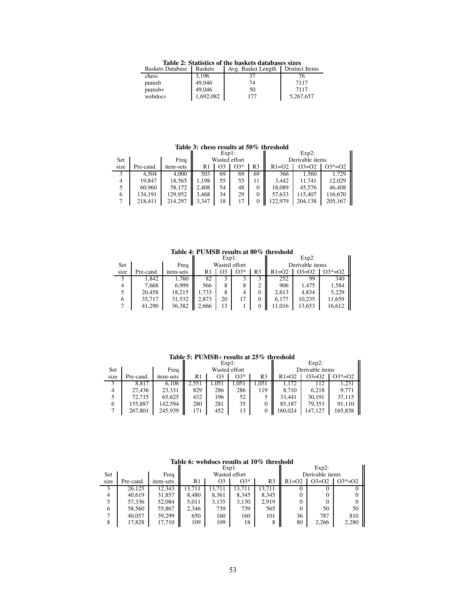**Table 2: Statistics of the baskets databases sizes**<br>Baskets Database | Baskets | Avg. Basket Length | Distinct Items

| Baskets Database | <b>B</b> askets | Avg. Basket Length | Distinct Items |
|------------------|-----------------|--------------------|----------------|
| chess            | 3,196           |                    | 76             |
| pumsb            | 49,046          | 74                 | 7117           |
| $pumsb*$         | 49,046          | 50                 | 7117           |
| webdocs          | 1,692,082       | 177                | 5,267,657      |
|                  |                 |                    |                |

#### **Table 3: chess results at 50% threshold**

|      | Table 3: chess results at 50% infeshold |           |               |          |       |                |                 |          |          |  |  |  |  |
|------|-----------------------------------------|-----------|---------------|----------|-------|----------------|-----------------|----------|----------|--|--|--|--|
|      |                                         |           |               | $Exp1$ : |       |                |                 | $Exp2$ : |          |  |  |  |  |
| Set  |                                         | Freq      | Wasted effort |          |       |                | Derivable items |          |          |  |  |  |  |
| size | Pre-cand.                               | item-sets | R1            | O3       | $O3*$ | R <sub>3</sub> | $R1=O2$         | $O3=O2$  | $O3*=O2$ |  |  |  |  |
| 3    | 4.504                                   | 4,000     | 503           | 69       | 69    | 69             | 366             | 1.560    | 1.729    |  |  |  |  |
| 4    | 19,847                                  | 18,565    | 1.198         | 55       | 55    |                | 3.442           | 11.741   | 12,029   |  |  |  |  |
|      | 60.960                                  | 58.172    | 2.408         | 54       | 48    | $\Omega$       | 18,089          | 45.576   | 46,408   |  |  |  |  |
| 6    | 134,191                                 | 129,952   | 3.468         | 34       | 29    | $\Omega$       | 57,633          | 115,407  | 116,670  |  |  |  |  |
|      | 218,411                                 | 214.297   | 3,347         | 18       | 17    |                | 122.979         | 204,138  | 205,167  |  |  |  |  |

**Table 4: PUMSB results at 80% threshold**

|      |           |           | $Exp1$ :      |    |       | $Exp2$ :        |         |         |          |
|------|-----------|-----------|---------------|----|-------|-----------------|---------|---------|----------|
| Set  |           | Freq      | Wasted effort |    |       | Derivable items |         |         |          |
| size | Pre-cand. | item-sets | R1            |    | $O3*$ | R3              | $R1=O2$ | $O3=O2$ | $O3*=O2$ |
|      | 1,842     | 1,760     | 82            |    |       |                 | 252     | 99      | 340      |
|      | 7.668     | 6,999     | 566           | 8  |       | 2               | 906     | 1.475   | 1,584    |
|      | 20,458    | 18,215    | .733          | 8  | 4     | 0               | 2.613   | 4,834   | 5,229    |
| 6    | 35.717    | 31,532    | 2,873         | 20 |       | 0               | 6.177   | 10,235  | 11,659   |
|      | 41,290    | 36,382    | 2.666         | 13 |       | 0               | 11.016  | 13.653  | 16,612   |

#### **Table 5: PUMSB**∗ **results at 25% threshold**

|      |           |           |               | $Exp1$ : |       |       | $Exp2$ : |                 |          |
|------|-----------|-----------|---------------|----------|-------|-------|----------|-----------------|----------|
| Set  |           | Freq      | Wasted effort |          |       |       |          | Derivable items |          |
| size | Pre-cand. | item-sets | R1            | O3       | $O3*$ | R3    | $R1=02$  | $O3=O2$         | $O3*=O2$ |
|      | 8,817     | 6.106     | 2,551         | 1,051    | 1,051 | 1,051 | 1,172    | 112             | 1,231    |
| 4    | 27.436    | 23,331    | 829           | 286      | 286   | 119   | 8.710    | 6.218           | 9.771    |
|      | 72,715    | 65,625    | 432           | 196      | 52    |       | 33.441   | 30,191          | 37,115   |
| 6    | 155.887   | 142,594   | 280           | 281      | 35    |       | 85.187   | 79,353          | 91.110   |
|      | 267,801   | 245,939   | 171           | 452      | 13    |       | 160.024  | 147.127         | 165,838  |

#### **Table 6: webdocs results at 10% threshold**

|      |           |                  | $Exp1$ : |                |               |        | $Exp2$ :        |         |            |
|------|-----------|------------------|----------|----------------|---------------|--------|-----------------|---------|------------|
| Set  |           | Freq             |          |                | Wasted effort |        | Derivable items |         |            |
| size | Pre-cand. | <i>item-sets</i> | R1       | O <sub>3</sub> | $O3*$         | R3     | $R1=O2$         | $O3=O2$ | $O3* = O2$ |
| 3    | 26.125    | 12.343           | 3.711    | 3.711          | 13.711        | 13.711 |                 |         |            |
| 4    | 40.619    | 31,857           | 8.480    | 8,361          | 8.345         | 8,345  |                 |         |            |
|      | 57,336    | 52,084           | 5.011    | 3,135          | 3,130         | 2,919  |                 |         |            |
| 6    | 58,560    | 55,867           | 2,346    | 739            | 739           | 565    | 0               | 50      | 50         |
| ⇁    | 40,057    | 39,299           | 650      | 160            | 160           | 101    | 36              | 787     | 810        |
| 8    | 17,828    | 17,710           | 109      | 109            | 18            | 8      | 80              | 2,266   | 2,280      |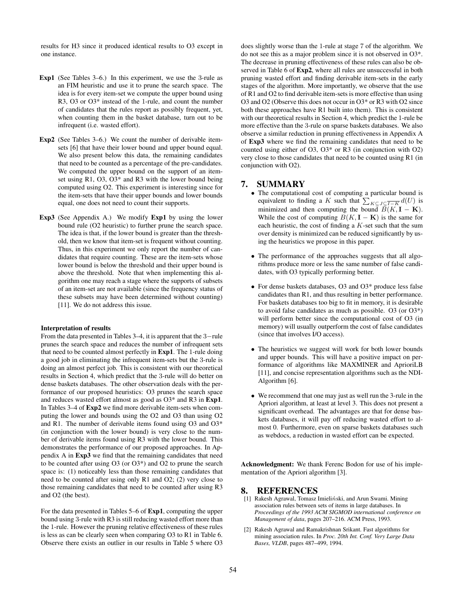results for H3 since it produced identical results to O3 except in one instance.

- **Exp1** (See Tables 3–6.) In this experiment, we use the 3-rule as an FIM heuristic and use it to prune the search space. The idea is for every item-set we compute the upper bound using R3, O3 or O3\* instead of the 1-rule, and count the number of candidates that the rules report as possibly frequent, yet, when counting them in the basket database, turn out to be infrequent (i.e. wasted effort).
- **Exp2** (See Tables 3–6.) We count the number of derivable itemsets [6] that have their lower bound and upper bound equal. We also present below this data, the remaining candidates that need to be counted as a percentage of the pre-candidates. We computed the upper bound on the support of an itemset using R1, O3, O3\* and R3 with the lower bound being computed using O2. This experiment is interesting since for the item-sets that have their upper bounds and lower bounds equal, one does not need to count their supports.
- **Exp3** (See Appendix A.) We modify **Exp1** by using the lower bound rule (O2 heuristic) to further prune the search space. The idea is that, if the lower bound is greater than the threshold, then we know that item-set is frequent without counting. Thus, in this experiment we only report the number of candidates that require counting. These are the item-sets whose lower bound is below the threshold and their upper bound is above the threshold. Note that when implementing this algorithm one may reach a stage where the supports of subsets of an item-set are not available (since the frequency status of these subsets may have been determined without counting) [11]. We do not address this issue.

#### **Interpretation of results**

From the data presented in Tables 3–4, it is apparent that the 3−rule prunes the search space and reduces the number of infrequent sets that need to be counted almost perfectly in **Exp1**. The 1-rule doing a good job in eliminating the infrequent item-sets but the 3-rule is doing an almost perfect job. This is consistent with our theoretical results in Section 4, which predict that the 3-rule will do better on dense baskets databases. The other observation deals with the performance of our proposed heuristics: O3 prunes the search space and reduces wasted effort almost as good as O3\* and R3 in **Exp1**. In Tables 3–4 of **Exp2** we find more derivable item-sets when computing the lower and bounds using the O2 and O3 than using O2 and R1. The number of derivable items found using O3 and O3\* (in conjunction with the lower bound) is very close to the number of derivable items found using R3 with the lower bound. This demonstrates the performance of our proposed approaches. In Appendix A in **Exp3** we find that the remaining candidates that need to be counted after using O3 (or O3\*) and O2 to prune the search space is: (1) noticeably less than those remaining candidates that need to be counted after using only R1 and O2; (2) very close to those remaining candidates that need to be counted after using R3 and O2 (the best).

For the data presented in Tables 5–6 of **Exp1**, computing the upper bound using 3-rule with R3 is still reducing wasted effort more than the 1-rule. However the pruning relative effectiveness of these rules is less as can be clearly seen when comparing O3 to R1 in Table 6. Observe there exists an outlier in our results in Table 5 where O3 does slightly worse than the 1-rule at stage 7 of the algorithm. We do not see this as a major problem since it is not observed in O3\*. The decrease in pruning effectiveness of these rules can also be observed in Table 6 of **Exp2**, where all rules are unsuccessful in both pruning wasted effort and finding derivable item-sets in the early stages of the algorithm. More importantly, we observe that the use of R1 and O2 to find derivable item-sets is more effective than using O3 and O2 (Observe this does not occur in O3\* or R3 with O2 since both these approaches have R1 built into them). This is consistent with our theoretical results in Section 4, which predict the 1-rule be more effective than the 3-rule on sparse baskets databases. We also observe a similar reduction in pruning effectiveness in Appendix A of **Exp3** where we find the remaining candidates that need to be counted using either of O3, O3\* or R3 (in conjunction with O2) very close to those candidates that need to be counted using R1 (in conjunction with O2).

## **7. SUMMARY**

- The computational cost of computing a particular bound is equivalent to finding a K such that  $\sum_{K \subseteq J} \underbrace{\subseteq I - K}_{\subseteq J} d(U)$  is minimized and then computing the bound  $\overline{B}(K, I - K)$ . While the cost of computing  $B(K, I - K)$  is the same for each heuristic, the cost of finding a  $K$ -set such that the sum over density is minimized can be reduced significantly by using the heuristics we propose in this paper.
- The performance of the approaches suggests that all algorithms produce more or less the same number of false candidates, with O3 typically performing better.
- For dense baskets databases, O3 and O3\* produce less false candidates than R1, and thus resulting in better performance. For baskets databases too big to fit in memory, it is desirable to avoid false candidates as much as possible. O3 (or O3\*) will perform better since the computational cost of O3 (in memory) will usually outperform the cost of false candidates (since that involves I/O access).
- The heuristics we suggest will work for both lower bounds and upper bounds. This will have a positive impact on performance of algorithms like MAXMINER and AprioriLB [11], and concise representation algorithms such as the NDI-Algorithm [6].
- We recommend that one may just as well run the 3-rule in the Apriori algorithm, at least at level 3. This does not present a significant overhead. The advantages are that for dense baskets databases, it will pay off reducing wasted effort to almost 0. Furthermore, even on sparse baskets databases such as webdocs, a reduction in wasted effort can be expected.

**Acknowledgment:** We thank Ferenc Bodon for use of his implementation of the Apriori algorithm [3].

#### **8. REFERENCES**

- [1] Rakesh Agrawal, Tomasz Imieliński, and Arun Swami. Mining association rules between sets of items in large databases. In *Proceedings of the 1993 ACM SIGMOD international conference on Management of data*, pages 207–216. ACM Press, 1993.
- [2] Rakesh Agrawal and Ramakrishnan Srikant. Fast algorithms for mining association rules. In *Proc. 20th Int. Conf. Very Large Data Bases, VLDB*, pages 487–499, 1994.